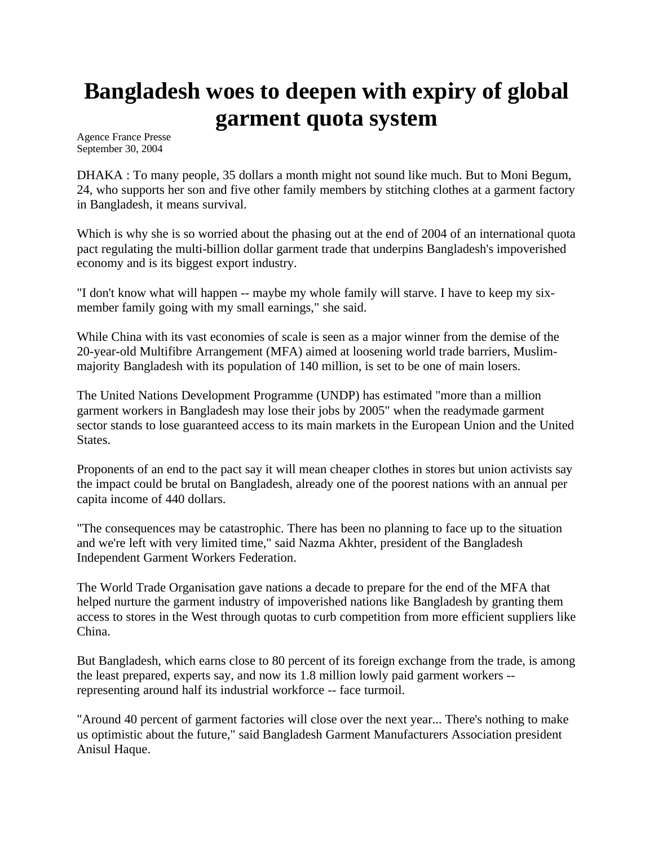## **Bangladesh woes to deepen with expiry of global garment quota system**

Agence France Presse September 30, 2004

DHAKA : To many people, 35 dollars a month might not sound like much. But to Moni Begum, 24, who supports her son and five other family members by stitching clothes at a garment factory in Bangladesh, it means survival.

Which is why she is so worried about the phasing out at the end of 2004 of an international quota pact regulating the multi-billion dollar garment trade that underpins Bangladesh's impoverished economy and is its biggest export industry.

"I don't know what will happen -- maybe my whole family will starve. I have to keep my sixmember family going with my small earnings," she said.

While China with its vast economies of scale is seen as a major winner from the demise of the 20-year-old Multifibre Arrangement (MFA) aimed at loosening world trade barriers, Muslimmajority Bangladesh with its population of 140 million, is set to be one of main losers.

The United Nations Development Programme (UNDP) has estimated "more than a million garment workers in Bangladesh may lose their jobs by 2005" when the readymade garment sector stands to lose guaranteed access to its main markets in the European Union and the United States.

Proponents of an end to the pact say it will mean cheaper clothes in stores but union activists say the impact could be brutal on Bangladesh, already one of the poorest nations with an annual per capita income of 440 dollars.

"The consequences may be catastrophic. There has been no planning to face up to the situation and we're left with very limited time," said Nazma Akhter, president of the Bangladesh Independent Garment Workers Federation.

The World Trade Organisation gave nations a decade to prepare for the end of the MFA that helped nurture the garment industry of impoverished nations like Bangladesh by granting them access to stores in the West through quotas to curb competition from more efficient suppliers like China.

But Bangladesh, which earns close to 80 percent of its foreign exchange from the trade, is among the least prepared, experts say, and now its 1.8 million lowly paid garment workers - representing around half its industrial workforce -- face turmoil.

"Around 40 percent of garment factories will close over the next year... There's nothing to make us optimistic about the future," said Bangladesh Garment Manufacturers Association president Anisul Haque.